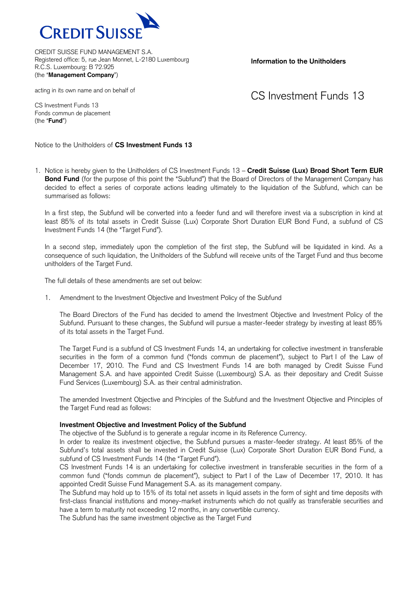

**Information to the Unitholders**

acting in its own name and on behalf of

CS Investment Funds 13

CS Investment Funds 13 Fonds commun de placement (the "**Fund**")

Notice to the Unitholders of **CS Investment Funds 13**

1. Notice is hereby given to the Unitholders of CS Investment Funds 13 – **Credit Suisse (Lux) Broad Short Term EUR Bond Fund** (for the purpose of this point the "Subfund") that the Board of Directors of the Management Company has decided to effect a series of corporate actions leading ultimately to the liquidation of the Subfund, which can be summarised as follows:

In a first step, the Subfund will be converted into a feeder fund and will therefore invest via a subscription in kind at least 85% of its total assets in Credit Suisse (Lux) Corporate Short Duration EUR Bond Fund, a subfund of CS Investment Funds 14 (the "Target Fund").

In a second step, immediately upon the completion of the first step, the Subfund will be liquidated in kind. As a consequence of such liquidation, the Unitholders of the Subfund will receive units of the Target Fund and thus become unitholders of the Target Fund.

The full details of these amendments are set out below:

1. Amendment to the Investment Objective and Investment Policy of the Subfund

The Board Directors of the Fund has decided to amend the Investment Objective and Investment Policy of the Subfund. Pursuant to these changes, the Subfund will pursue a master-feeder strategy by investing at least 85% of its total assets in the Target Fund.

The Target Fund is a subfund of CS Investment Funds 14, an undertaking for collective investment in transferable securities in the form of a common fund ("fonds commun de placement"), subject to Part I of the Law of December 17, 2010. The Fund and CS Investment Funds 14 are both managed by Credit Suisse Fund Management S.A. and have appointed Credit Suisse (Luxembourg) S.A. as their depositary and Credit Suisse Fund Services (Luxembourg) S.A. as their central administration.

The amended Investment Objective and Principles of the Subfund and the Investment Objective and Principles of the Target Fund read as follows:

#### **Investment Objective and Investment Policy of the Subfund**

The objective of the Subfund is to generate a regular income in its Reference Currency.

In order to realize its investment objective, the Subfund pursues a master-feeder strategy. At least 85% of the Subfund's total assets shall be invested in Credit Suisse (Lux) Corporate Short Duration EUR Bond Fund, a subfund of CS Investment Funds 14 (the "Target Fund").

CS Investment Funds 14 is an undertaking for collective investment in transferable securities in the form of a common fund ("fonds commun de placement"), subject to Part I of the Law of December 17, 2010. It has appointed Credit Suisse Fund Management S.A. as its management company.

The Subfund may hold up to 15% of its total net assets in liquid assets in the form of sight and time deposits with first-class financial institutions and money-market instruments which do not qualify as transferable securities and have a term to maturity not exceeding 12 months, in any convertible currency.

The Subfund has the same investment objective as the Target Fund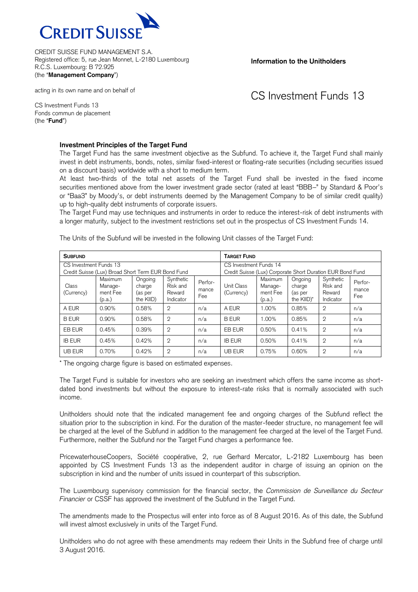

**Information to the Unitholders**

acting in its own name and on behalf of

CS Investment Funds 13

CS Investment Funds 13 Fonds commun de placement (the "**Fund**")

#### **Investment Principles of the Target Fund**

The Target Fund has the same investment objective as the Subfund. To achieve it, the Target Fund shall mainly invest in debt instruments, bonds, notes, similar fixed-interest or floating-rate securities (including securities issued on a discount basis) worldwide with a short to medium term.

At least two-thirds of the total net assets of the Target Fund shall be invested in the fixed income securities mentioned above from the lower investment grade sector (rated at least "BBB–" by Standard & Poor's or "Baa3" by Moody's, or debt instruments deemed by the Management Company to be of similar credit quality) up to high-quality debt instruments of corporate issuers.

The Target Fund may use techniques and instruments in order to reduce the interest-risk of debt instruments with a longer maturity, subject to the investment restrictions set out in the prospectus of CS Investment Funds 14.

| <b>SUBFUND</b>                                                               |                                          |                                           |                                              |                         | <b>TARGET FUND</b>                                                                   |                                          |                                            |                                              |                         |
|------------------------------------------------------------------------------|------------------------------------------|-------------------------------------------|----------------------------------------------|-------------------------|--------------------------------------------------------------------------------------|------------------------------------------|--------------------------------------------|----------------------------------------------|-------------------------|
| CS Investment Funds 13<br>Credit Suisse (Lux) Broad Short Term EUR Bond Fund |                                          |                                           |                                              |                         | CS Investment Funds 14<br>Credit Suisse (Lux) Corporate Short Duration EUR Bond Fund |                                          |                                            |                                              |                         |
| Class<br>(Currency)                                                          | Maximum<br>Manage-<br>ment Fee<br>(p.a.) | Ongoing<br>charge<br>(as per<br>the KIID) | Synthetic<br>Risk and<br>Reward<br>Indicator | Perfor-<br>mance<br>Fee | Unit Class<br>(Currency)                                                             | Maximum<br>Manage-<br>ment Fee<br>(p.a.) | Ongoing<br>charge<br>(as per<br>the KIID)* | Synthetic<br>Risk and<br>Reward<br>Indicator | Perfor-<br>mance<br>Fee |
| A EUR                                                                        | $0.90\%$                                 | 0.58%                                     | $\mathfrak{D}$                               | n/a                     | A EUR                                                                                | 1.00%                                    | 0.85%                                      | $\overline{2}$                               | n/a                     |
| <b>BEUR</b>                                                                  | 0.90%                                    | 0.58%                                     | $\mathfrak{D}$                               | n/a                     | <b>BEUR</b>                                                                          | 1.00%                                    | 0.85%                                      | $\overline{2}$                               | n/a                     |
| EB EUR                                                                       | 0.45%                                    | 0.39%                                     | $\mathfrak{D}$                               | n/a                     | EB EUR                                                                               | 0.50%                                    | 0.41%                                      | $\mathfrak{D}$                               | n/a                     |
| <b>IB EUR</b>                                                                | 0.45%                                    | 0.42%                                     | $\mathbf{2}$                                 | n/a                     | <b>IB EUR</b>                                                                        | 0.50%                                    | 0.41%                                      | $\overline{2}$                               | n/a                     |
| UB EUR                                                                       | 0.70%                                    | 0.42%                                     | $\mathfrak{D}$                               | n/a                     | UB EUR                                                                               | 0.75%                                    | 0.60%                                      | $\mathbf{2}$                                 | n/a                     |

The Units of the Subfund will be invested in the following Unit classes of the Target Fund:

\* The ongoing charge figure is based on estimated expenses.

The Target Fund is suitable for investors who are seeking an investment which offers the same income as shortdated bond investments but without the exposure to interest-rate risks that is normally associated with such income.

Unitholders should note that the indicated management fee and ongoing charges of the Subfund reflect the situation prior to the subscription in kind. For the duration of the master-feeder structure, no management fee will be charged at the level of the Subfund in addition to the management fee charged at the level of the Target Fund. Furthermore, neither the Subfund nor the Target Fund charges a performance fee.

PricewaterhouseCoopers, Société coopérative, 2, rue Gerhard Mercator, L-2182 Luxembourg has been appointed by CS Investment Funds 13 as the independent auditor in charge of issuing an opinion on the subscription in kind and the number of units issued in counterpart of this subscription.

The Luxembourg supervisory commission for the financial sector, the *Commission de Surveillance du Secteur Financier* or CSSF has approved the investment of the Subfund in the Target Fund.

The amendments made to the Prospectus will enter into force as of 8 August 2016. As of this date, the Subfund will invest almost exclusively in units of the Target Fund.

Unitholders who do not agree with these amendments may redeem their Units in the Subfund free of charge until 3 August 2016.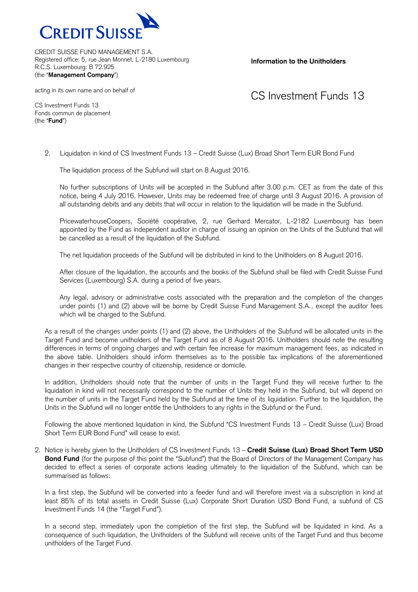

**Information to the Unitholders**

acting in its own name and on behalf of

## CS Investment Funds 13

CS Investment Funds 13 Fonds commun de placement (the "**Fund**")

2. Liquidation in kind of CS Investment Funds 13 – Credit Suisse (Lux) Broad Short Term EUR Bond Fund

The liquidation process of the Subfund will start on 8 August 2016.

No further subscriptions of Units will be accepted in the Subfund after 3.00 p.m. CET as from the date of this notice, being 4 July 2016. However, Units may be redeemed free of charge until 3 August 2016. A provision of all outstanding debits and any debits that will occur in relation to the liquidation will be made in the Subfund.

PricewaterhouseCoopers, Société coopérative, 2, rue Gerhard Mercator, L-2182 Luxembourg has been appointed by the Fund as independent auditor in charge of issuing an opinion on the Units of the Subfund that will be cancelled as a result of the liquidation of the Subfund.

The net liquidation proceeds of the Subfund will be distributed in kind to the Unitholders on 8 August 2016.

After closure of the liquidation, the accounts and the books of the Subfund shall be filed with Credit Suisse Fund Services (Luxembourg) S.A. during a period of five years.

Any legal, advisory or administrative costs associated with the preparation and the completion of the changes under points (1) and (2) above will be borne by Credit Suisse Fund Management S.A., except the auditor fees which will be charged to the Subfund.

As a result of the changes under points (1) and (2) above, the Unitholders of the Subfund will be allocated units in the Target Fund and become unitholders of the Target Fund as of 8 August 2016. Unitholders should note the resulting differences in terms of ongoing charges and with certain fee increase for maximum management fees, as indicated in the above table. Unitholders should inform themselves as to the possible tax implications of the aforementioned changes in their respective country of citizenship, residence or domicile.

In addition, Unitholders should note that the number of units in the Target Fund they will receive further to the liquidation in kind will not necessarily correspond to the number of Units they held in the Subfund, but will depend on the number of units in the Target Fund held by the Subfund at the time of its liquidation. Further to the liquidation, the Units in the Subfund will no longer entitle the Unitholders to any rights in the Subfund or the Fund.

Following the above mentioned liquidation in kind, the Subfund "CS Investment Funds 13 – Credit Suisse (Lux) Broad Short Term EUR Bond Fund" will cease to exist.

2. Notice is hereby given to the Unitholders of CS Investment Funds 13 – **Credit Suisse (Lux) Broad Short Term USD Bond Fund** (for the purpose of this point the "Subfund") that the Board of Directors of the Management Company has decided to effect a series of corporate actions leading ultimately to the liquidation of the Subfund, which can be summarised as follows:

In a first step, the Subfund will be converted into a feeder fund and will therefore invest via a subscription in kind at least 85% of its total assets in Credit Suisse (Lux) Corporate Short Duration USD Bond Fund, a subfund of CS Investment Funds 14 (the "Target Fund").

In a second step, immediately upon the completion of the first step, the Subfund will be liquidated in kind. As a consequence of such liquidation, the Unitholders of the Subfund will receive units of the Target Fund and thus become unitholders of the Target Fund.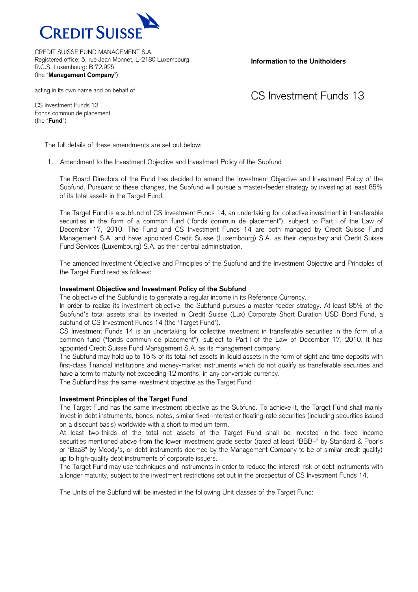

**Information to the Unitholders**

acting in its own name and on behalf of

## CS Investment Funds 13

CS Investment Funds 13 Fonds commun de placement (the "**Fund**")

The full details of these amendments are set out below:

1. Amendment to the Investment Objective and Investment Policy of the Subfund

The Board Directors of the Fund has decided to amend the Investment Objective and Investment Policy of the Subfund. Pursuant to these changes, the Subfund will pursue a master-feeder strategy by investing at least 85% of its total assets in the Target Fund.

The Target Fund is a subfund of CS Investment Funds 14, an undertaking for collective investment in transferable securities in the form of a common fund ("fonds commun de placement"), subject to Part I of the Law of December 17, 2010. The Fund and CS Investment Funds 14 are both managed by Credit Suisse Fund Management S.A. and have appointed Credit Suisse (Luxembourg) S.A. as their depositary and Credit Suisse Fund Services (Luxembourg) S.A. as their central administration.

The amended Investment Objective and Principles of the Subfund and the Investment Objective and Principles of the Target Fund read as follows:

#### **Investment Objective and Investment Policy of the Subfund**

The objective of the Subfund is to generate a regular income in its Reference Currency.

In order to realize its investment objective, the Subfund pursues a master-feeder strategy. At least 85% of the Subfund's total assets shall be invested in Credit Suisse (Lux) Corporate Short Duration USD Bond Fund, a subfund of CS Investment Funds 14 (the "Target Fund").

CS Investment Funds 14 is an undertaking for collective investment in transferable securities in the form of a common fund ("fonds commun de placement"), subject to Part I of the Law of December 17, 2010. It has appointed Credit Suisse Fund Management S.A. as its management company.

The Subfund may hold up to 15% of its total net assets in liquid assets in the form of sight and time deposits with first-class financial institutions and money-market instruments which do not qualify as transferable securities and have a term to maturity not exceeding 12 months, in any convertible currency.

The Subfund has the same investment objective as the Target Fund

#### **Investment Principles of the Target Fund**

The Target Fund has the same investment objective as the Subfund. To achieve it, the Target Fund shall mainly invest in debt instruments, bonds, notes, similar fixed-interest or floating-rate securities (including securities issued on a discount basis) worldwide with a short to medium term.

At least two-thirds of the total net assets of the Target Fund shall be invested in the fixed income securities mentioned above from the lower investment grade sector (rated at least "BBB–" by Standard & Poor's or "Baa3" by Moody's, or debt instruments deemed by the Management Company to be of similar credit quality) up to high-quality debt instruments of corporate issuers.

The Target Fund may use techniques and instruments in order to reduce the interest-risk of debt instruments with a longer maturity, subject to the investment restrictions set out in the prospectus of CS Investment Funds 14.

The Units of the Subfund will be invested in the following Unit classes of the Target Fund: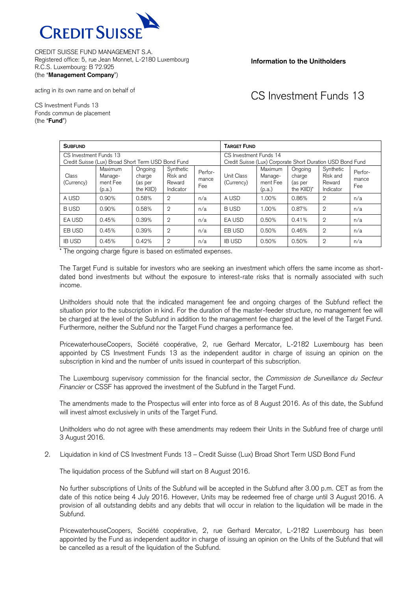

**Information to the Unitholders**

# CS Investment Funds 13

acting in its own name and on behalf of

CS Investment Funds 13 Fonds commun de placement (the "**Fund**")

| <b>SUBFUND</b>                                                               |                                          |                                           |                                              |                         | <b>TARGET FUND</b>                                                                   |                                          |                                                       |                                              |                         |
|------------------------------------------------------------------------------|------------------------------------------|-------------------------------------------|----------------------------------------------|-------------------------|--------------------------------------------------------------------------------------|------------------------------------------|-------------------------------------------------------|----------------------------------------------|-------------------------|
| CS Investment Funds 13<br>Credit Suisse (Lux) Broad Short Term USD Bond Fund |                                          |                                           |                                              |                         | CS Investment Funds 14<br>Credit Suisse (Lux) Corporate Short Duration USD Bond Fund |                                          |                                                       |                                              |                         |
| Class<br>(Currency)                                                          | Maximum<br>Manage-<br>ment Fee<br>(p.a.) | Ongoing<br>charge<br>(as per<br>the KIID) | Synthetic<br>Risk and<br>Reward<br>Indicator | Perfor-<br>mance<br>Fee | Unit Class<br>(Currency)                                                             | Maximum<br>Manage-<br>ment Fee<br>(p.a.) | Ongoing<br>charge<br>(as per<br>the KIID <sup>*</sup> | Synthetic<br>Risk and<br>Reward<br>Indicator | Perfor-<br>mance<br>Fee |
| A USD                                                                        | 0.90%                                    | 0.58%                                     | $\mathbf{2}$                                 | n/a                     | A USD                                                                                | 1.00%                                    | 0.86%                                                 | $\mathfrak{D}$                               | n/a                     |
| <b>BUSD</b>                                                                  | $0.90\%$                                 | 0.58%                                     | $\overline{2}$                               | n/a                     | <b>BUSD</b>                                                                          | 1.00%                                    | 0.87%                                                 | $\mathfrak{D}$                               | n/a                     |
| EA USD                                                                       | 0.45%                                    | 0.39%                                     | $\mathfrak{D}$                               | n/a                     | EA USD                                                                               | 0.50%                                    | 0.41%                                                 | $\mathfrak{D}$                               | n/a                     |
| EB USD                                                                       | 0.45%                                    | 0.39%                                     | $\mathfrak{D}$                               | n/a                     | EB USD                                                                               | 0.50%                                    | 0.46%                                                 | $\mathfrak{D}$                               | n/a                     |
| <b>IB USD</b>                                                                | 0.45%                                    | 0.42%                                     | $\mathbf{2}$                                 | n/a                     | <b>IB USD</b>                                                                        | 0.50%                                    | 0.50%                                                 | $\overline{2}$                               | n/a                     |

\* The ongoing charge figure is based on estimated expenses.

The Target Fund is suitable for investors who are seeking an investment which offers the same income as shortdated bond investments but without the exposure to interest-rate risks that is normally associated with such income.

Unitholders should note that the indicated management fee and ongoing charges of the Subfund reflect the situation prior to the subscription in kind. For the duration of the master-feeder structure, no management fee will be charged at the level of the Subfund in addition to the management fee charged at the level of the Target Fund. Furthermore, neither the Subfund nor the Target Fund charges a performance fee.

PricewaterhouseCoopers, Société coopérative, 2, rue Gerhard Mercator, L-2182 Luxembourg has been appointed by CS Investment Funds 13 as the independent auditor in charge of issuing an opinion on the subscription in kind and the number of units issued in counterpart of this subscription.

The Luxembourg supervisory commission for the financial sector, the *Commission de Surveillance du Secteur Financier* or CSSF has approved the investment of the Subfund in the Target Fund.

The amendments made to the Prospectus will enter into force as of 8 August 2016. As of this date, the Subfund will invest almost exclusively in units of the Target Fund.

Unitholders who do not agree with these amendments may redeem their Units in the Subfund free of charge until 3 August 2016.

2. Liquidation in kind of CS Investment Funds 13 – Credit Suisse (Lux) Broad Short Term USD Bond Fund

The liquidation process of the Subfund will start on 8 August 2016.

No further subscriptions of Units of the Subfund will be accepted in the Subfund after 3.00 p.m. CET as from the date of this notice being 4 July 2016. However, Units may be redeemed free of charge until 3 August 2016. A provision of all outstanding debits and any debits that will occur in relation to the liquidation will be made in the Subfund.

PricewaterhouseCoopers, Société coopérative, 2, rue Gerhard Mercator, L-2182 Luxembourg has been appointed by the Fund as independent auditor in charge of issuing an opinion on the Units of the Subfund that will be cancelled as a result of the liquidation of the Subfund.